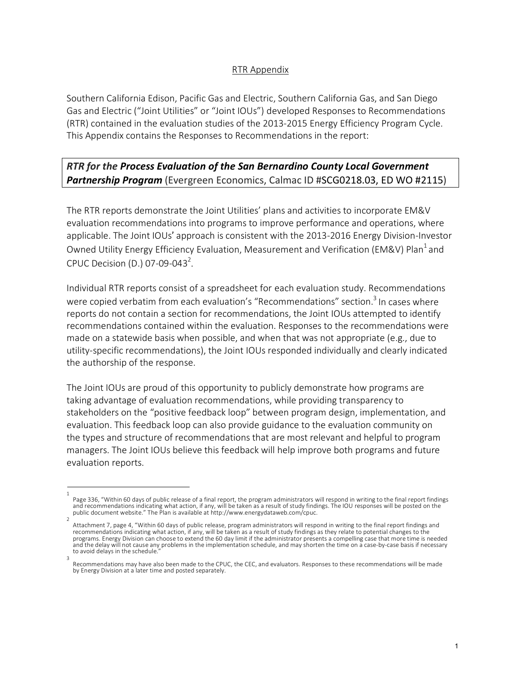## RTR Appendix

Southern California Edison, Pacific Gas and Electric, Southern California Gas, and San Diego Gas and Electric ("Joint Utilities" or "Joint IOUs") developed Responses to Recommendations (RTR) contained in the evaluation studies of the 2013-2015 Energy Efficiency Program Cycle. This Appendix contains the Responses to Recommendations in the report:

## *RTR for the Process Evaluation of the San Bernardino County Local Government Partnership Program* (Evergreen Economics, Calmac ID #SCG0218.03, ED WO #2115)

The RTR reports demonstrate the Joint Utilities' plans and activities to incorporate EM&V evaluation recommendations into programs to improve performance and operations, where applicable. The Joint IOUs' approach is consistent with the 2013-2016 Energy Division-Investor Owned Utility Energy Efficiency Evaluation, Measurement and Verification (EM&V) Plan<sup>1</sup> and CPUC Decision (D.) 07-09-043<sup>2</sup>.

Individual RTR reports consist of a spreadsheet for each evaluation study. Recommendations were copied verbatim from each evaluation's "Recommendations" section.<sup>3</sup> In cases where reports do not contain a section for recommendations, the Joint IOUs attempted to identify recommendations contained within the evaluation. Responses to the recommendations were made on a statewide basis when possible, and when that was not appropriate (e.g., due to utility-specific recommendations), the Joint IOUs responded individually and clearly indicated the authorship of the response.

The Joint IOUs are proud of this opportunity to publicly demonstrate how programs are taking advantage of evaluation recommendations, while providing transparency to stakeholders on the "positive feedback loop" between program design, implementation, and evaluation. This feedback loop can also provide guidance to the evaluation community on the types and structure of recommendations that are most relevant and helpful to program managers. The Joint IOUs believe this feedback will help improve both programs and future evaluation reports.

<sup>1</sup>  Page 336, "Within 60 days of public release of a final report, the program administrators will respond in writing to the final report findings<br>and recommendations indicating what action, if any, will be taken as a result o public document website." The Plan is available at http://www.energydataweb.com/cpuc.

Attachment 7, page 4, "Within 60 days of public release, program administrators will respond in writing to the final report findings and recommendations indicating what action, if any, will be taken as a result of study findings as they relate to potential changes to the programs. Energy Division can choose to extend the 60 day limit if the administrator presents a compelling case that more time is needed and the delay will not cause any problems in the implementation schedule, and may shorten the time on a case-by-case basis if necessary to avoid delays in the schedule. 3

Recommendations may have also been made to the CPUC, the CEC, and evaluators. Responses to these recommendations will be made by Energy Division at a later time and posted separately.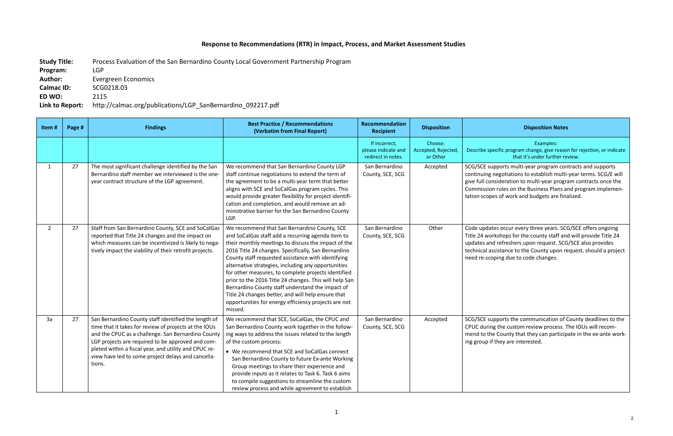## **Response to Recommendations (RTR) in Impact, Process, and Market Assessment Studies**

**Study Title:** Process Evaluation of the San Bernardino County Local Government Partnership Program **Program:** LGP **Author:** Evergreen Economics **Calmac ID:** SCG0218.03 **ED WO:** 2115 **Link to Report:** http://calmac.org/publications/LGP\_SanBernardino\_092217.pdf

## **Recipient Disposition Disposition Notes**

Examples: cific program change, give reason for rejection, or indicate that it's under further review.

poorts multi-year program contracts and supports egotiations to establish multi-year terms. SCG/E will sideration to multi-year program contracts once the rules on the Business Plans and program implemens of work and budgets are finalized.

es occur every three years. SCG/SCE offers ongoing kshops for the county staff and will provide Title 24 I refreshers upon request. SCG/SCE also provides sistance to the County upon request, should a project bing due to code changes.

pports the communication of County deadlines to the the custom review process. The IOUs will recom-County that they can participate in the ex-ante workthey are interested.

| Item#          | Page # | <b>Findings</b>                                                                                                                                                                                                                                                                                                                                   | <b>Best Practice / Recommendations</b><br>(Verbatim from Final Report)                                                                                                                                                                                                                                                                                                                                                                                                                                                                                                                                                     | Recommendation<br><b>Recipient</b>                         | <b>Disposition</b>                         |                                                                               |
|----------------|--------|---------------------------------------------------------------------------------------------------------------------------------------------------------------------------------------------------------------------------------------------------------------------------------------------------------------------------------------------------|----------------------------------------------------------------------------------------------------------------------------------------------------------------------------------------------------------------------------------------------------------------------------------------------------------------------------------------------------------------------------------------------------------------------------------------------------------------------------------------------------------------------------------------------------------------------------------------------------------------------------|------------------------------------------------------------|--------------------------------------------|-------------------------------------------------------------------------------|
|                |        |                                                                                                                                                                                                                                                                                                                                                   |                                                                                                                                                                                                                                                                                                                                                                                                                                                                                                                                                                                                                            | If incorrect,<br>please indicate and<br>redirect in notes. | Choose:<br>Accepted, Rejected,<br>or Other | Describe spec                                                                 |
| $\mathbf{1}$   | 27     | The most significant challenge identified by the San<br>Bernardino staff member we interviewed is the one-<br>year contract structure of the LGP agreement.                                                                                                                                                                                       | We recommend that San Bernardino County LGP<br>staff continue negotiations to extend the term of<br>the agreement to be a multi-year term that better<br>aligns with SCE and SoCalGas program cycles. This<br>would provide greater flexibility for project identifi-<br>cation and completion, and would remove an ad-<br>ministrative barrier for the San Bernardino County<br>LGP.                                                                                                                                                                                                                                      | San Bernardino<br>County, SCE, SCG                         | Accepted                                   | SCG/SCE sup<br>continuing no<br>give full cons<br>Commission<br>tation scopes |
| $\overline{2}$ | 27     | Staff from San Bernardino County, SCE and SoCalGas<br>reported that Title 24 changes and the impact on<br>which measures can be incentivized is likely to nega-<br>tively impact the viability of their retrofit projects.                                                                                                                        | We recommend that San Bernardino County, SCE<br>and SoCalGas staff add a recurring agenda item to<br>their monthly meetings to discuss the impact of the<br>2016 Title 24 changes. Specifically, San Bernardino<br>County staff requested assistance with identifying<br>alternative strategies, including any opportunities<br>for other measures, to complete projects identified<br>prior to the 2016 Title 24 changes. This will help San<br>Bernardino County staff understand the impact of<br>Title 24 changes better, and will help ensure that<br>opportunities for energy efficiency projects are not<br>missed. | San Bernardino<br>County, SCE, SCG                         | Other                                      | Code update<br>Title 24 work<br>updates and<br>technical ass<br>need re-scop  |
| 3a             | 27     | San Bernardino County staff identified the length of<br>time that it takes for review of projects at the IOUs<br>and the CPUC as a challenge. San Bernardino County<br>LGP projects are required to be approved and com-<br>pleted within a fiscal year, and utility and CPUC re-<br>view have led to some project delays and cancella-<br>tions. | We recommend that SCE, SoCalGas, the CPUC and<br>San Bernardino County work together in the follow-<br>ing ways to address the issues related to the length<br>of the custom process:<br>• We recommend that SCE and SoCalGas connect<br>San Bernardino County to future Ex-ante Working<br>Group meetings to share their experience and<br>provide inputs as it relates to Task 6. Task 6 aims<br>to compile suggestions to streamline the custom<br>review process and while agreement to establish                                                                                                                      | San Bernardino<br>County, SCE, SCG                         | Accepted                                   | SCG/SCE sup<br>CPUC during<br>mend to the<br>ing group if t                   |